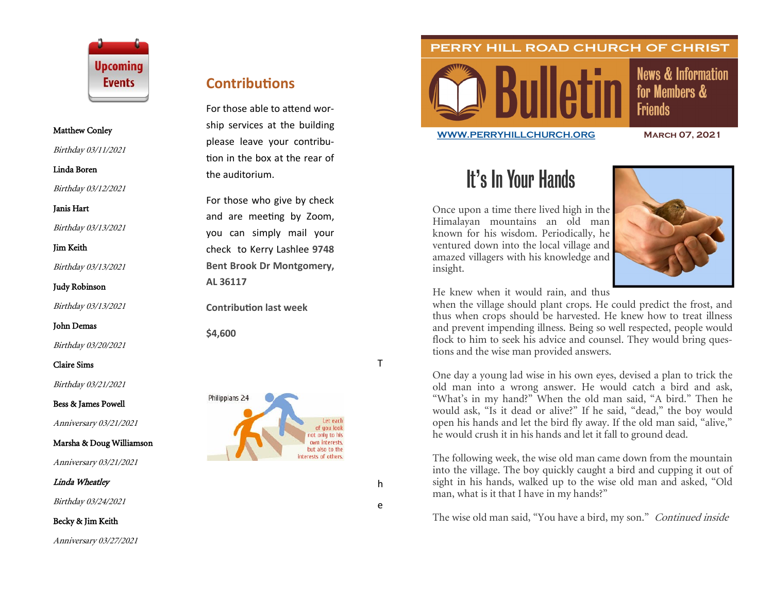

#### Matthew Conley

Birthday 03/11/2021

Linda Boren

Birthday 03/12/2021

Janis Hart

Birthday 03/13/2021

Jim Keith

Birthday 03/13/2021

Judy Robinson

Birthday 03/13/2021

John Demas

Birthday 03/20/2021

Claire Sims

Birthday 03/21/2021

Bess & James Powell

Anniversary 03/21/2021

Marsha & Doug Williamson

Anniversary 03/21/2021

Linda Wheatley

Birthday 03/24/2021

Becky & Jim Keith

Anniversary 03/27/2021

## **Contributions**

For those able to attend worship services at the building please leave your contribution in the box at the rear of the auditorium.

For those who give by check and are meeting by Zoom, you can simply mail your check to Kerry Lashlee **9748 Bent Brook Dr Montgomery, AL 36117**

**Contribution last week**

**\$4,600**





PERRY HILL ROAD CHURCH OF CHRIST

**News & Information** for Members & **Friends** 

**[WWW.PERRYHILLCHURCH.ORG](http://www.perryhillchurch.org) March 07, 2021**

# It's In Your Hands

Once upon a time there lived high in the Himalayan mountains an old man known for his wisdom. Periodically, he ventured down into the local village and amazed villagers with his knowledge and insight.



He knew when it would rain, and thus

when the village should plant crops. He could predict the frost, and thus when crops should be harvested. He knew how to treat illness and prevent impending illness. Being so well respected, people would flock to him to seek his advice and counsel. They would bring questions and the wise man provided answers.

One day a young lad wise in his own eyes, devised a plan to trick the old man into a wrong answer. He would catch a bird and ask, "What's in my hand?" When the old man said, "A bird." Then he would ask, "Is it dead or alive?" If he said, "dead," the boy would open his hands and let the bird fly away. If the old man said, "alive," he would crush it in his hands and let it fall to ground dead.

The following week, the wise old man came down from the mountain into the village. The boy quickly caught a bird and cupping it out of sight in his hands, walked up to the wise old man and asked, "Old man, what is it that I have in my hands?"

The wise old man said, "You have a bird, my son." Continued inside

T<br>h

T.

h e